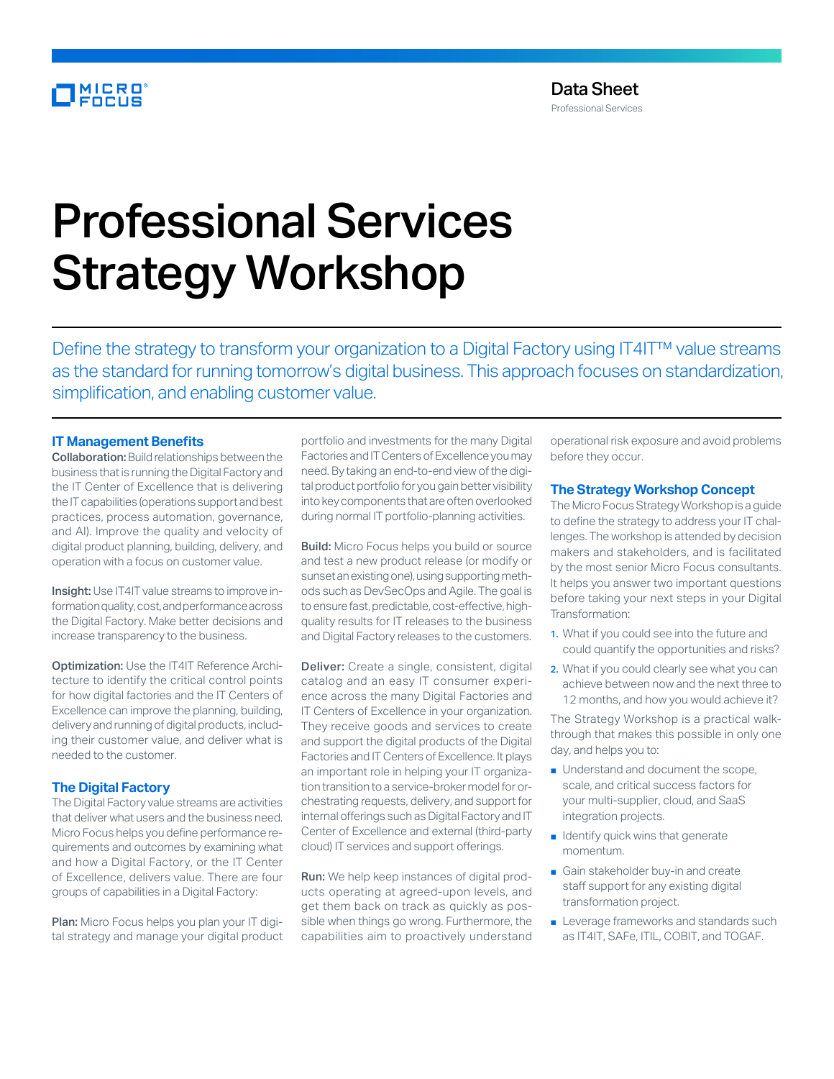# **MICRO**

# Professional Services Strategy Workshop

Define the strategy to transform your organization to a Digital Factory using IT4IT™ value streams as the standard for running tomorrow's digital business. This approach focuses on standardization, simplification, and enabling customer value.

# **IT Management Benefits**

Collaboration: Build relationships between the business that is running the Digital Factory and the IT Center of Excellence that is delivering the IT capabilities (operations support and best practices, process automation, governance, and AI). Improve the quality and velocity of digital product planning, building, delivery, and operation with a focus on customer value.

Insight: Use IT4IT value streams to improve information quality, cost, and performance across the Digital Factory. Make better decisions and increase transparency to the business.

Optimization: Use the IT4IT Reference Architecture to identify the critical control points for how digital factories and the IT Centers of Excellence can improve the planning, building, delivery and running of digital products, including their customer value, and deliver what is needed to the customer.

# **The Digital Factory**

The Digital Factory value streams are activities that deliver what users and the business need. Micro Focus helps you define performance requirements and outcomes by examining what and how a Digital Factory, or the IT Center of Excellence, delivers value. There are four groups of capabilities in a Digital Factory:

Plan: Micro Focus helps you plan your IT digital strategy and manage your digital product portfolio and investments for the many Digital Factories and IT Centers of Excellence you may need. By taking an end-to-end view of the digital product portfolio for you gain better visibility into key components that are often overlooked during normal IT portfolio-planning activities.

**Build:** Micro Focus helps you build or source and test a new product release (or modify or sunset an existing one), using supporting methods such as DevSecOps and Agile. The goal is to ensure fast, predictable, cost-effective, highquality results for IT releases to the business and Digital Factory releases to the customers.

Deliver: Create a single, consistent, digital catalog and an easy IT consumer experience across the many Digital Factories and IT Centers of Excellence in your organization. They receive goods and services to create and support the digital products of the Digital Factories and IT Centers of Excellence. It plays an important role in helping your IT organization transition to a service-broker model for orchestrating requests, delivery, and support for internal offerings such as Digital Factory and IT Center of Excellence and external (third-party cloud) IT services and support offerings.

Run: We help keep instances of digital products operating at agreed-upon levels, and get them back on track as quickly as possible when things go wrong. Furthermore, the capabilities aim to proactively understand

operational risk exposure and avoid problems before they occur.

#### **The Strategy Workshop Concept**

The Micro Focus Strategy Workshop is a guide to define the strategy to address your IT challenges. The workshop is attended by decision makers and stakeholders, and is facilitated by the most senior Micro Focus consultants. It helps you answer two important questions before taking your next steps in your Digital Transformation:

- 1. What if you could see into the future and could quantify the opportunities and risks?
- 2. What if you could clearly see what you can achieve between now and the next three to 12 months, and how you would achieve it?

The Strategy Workshop is a practical walkthrough that makes this possible in only one day, and helps you to:

- Understand and document the scope, scale, and critical success factors for your multi-supplier, cloud, and SaaS integration projects.
- Identify quick wins that generate momentum.
- Gain stakeholder buy-in and create staff support for any existing digital transformation project.
- Leverage frameworks and standards such as IT4IT, SAFe, ITIL, COBIT, and TOGAF.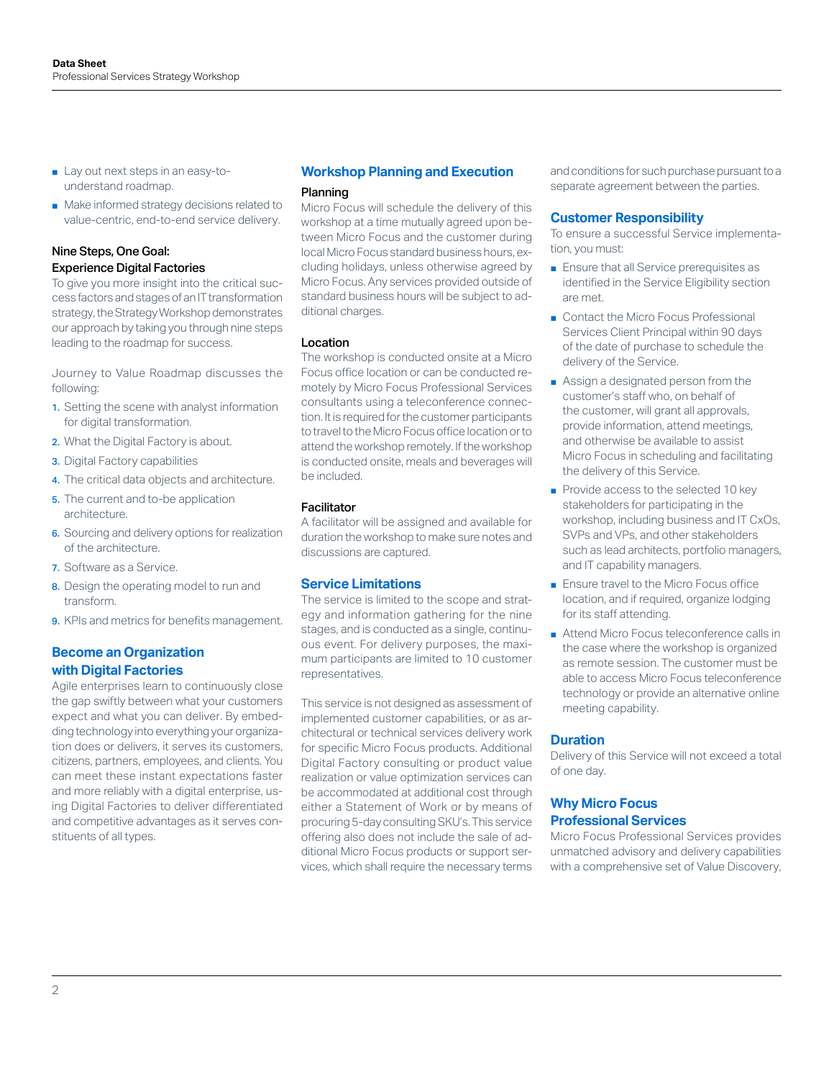- Lay out next steps in an easy-tounderstand roadmap.
- Make informed strategy decisions related to value-centric, end-to-end service delivery.

# Nine Steps, One Goal: Experience Digital Factories

To give you more insight into the critical success factors and stages of an IT transformation strategy, the Strategy Workshop demonstrates our approach by taking you through nine steps leading to the roadmap for success.

Journey to Value Roadmap discusses the following:

- 1. Setting the scene with analyst information for digital transformation.
- 2. What the Digital Factory is about.
- **3.** Digital Factory capabilities
- 4. The critical data objects and architecture.
- **5.** The current and to-be application architecture.
- 6. Sourcing and delivery options for realization of the architecture.
- 7. Software as a Service.
- 8. Design the operating model to run and transform.
- **9.** KPIs and metrics for benefits management.

# **Become an Organization with Digital Factories**

Agile enterprises learn to continuously close the gap swiftly between what your customers expect and what you can deliver. By embedding technology into everything your organization does or delivers, it serves its customers, citizens, partners, employees, and clients. You can meet these instant expectations faster and more reliably with a digital enterprise, using Digital Factories to deliver differentiated and competitive advantages as it serves constituents of all types.

### **Workshop Planning and Execution**

#### Planning

Micro Focus will schedule the delivery of this workshop at a time mutually agreed upon between Micro Focus and the customer during local Micro Focus standard business hours, excluding holidays, unless otherwise agreed by Micro Focus. Any services provided outside of standard business hours will be subject to additional charges.

#### Location

The workshop is conducted onsite at a Micro Focus office location or can be conducted remotely by Micro Focus Professional Services consultants using a teleconference connection. It is required for the customer participants to travel to the Micro Focus office location or to attend the workshop remotely. If the workshop is conducted onsite, meals and beverages will be included.

#### Facilitator

A facilitator will be assigned and available for duration the workshop to make sure notes and discussions are captured.

#### **Service Limitations**

The service is limited to the scope and strategy and information gathering for the nine stages, and is conducted as a single, continuous event. For delivery purposes, the maximum participants are limited to 10 customer representatives.

This service is not designed as assessment of implemented customer capabilities, or as architectural or technical services delivery work for specific Micro Focus products. Additional Digital Factory consulting or product value realization or value optimization services can be accommodated at additional cost through either a Statement of Work or by means of procuring 5-day consulting SKU's. This service offering also does not include the sale of additional Micro Focus products or support services, which shall require the necessary terms

and conditions for such purchase pursuant to a separate agreement between the parties.

# **Customer Responsibility**

To ensure a successful Service implementation, you must:

- Ensure that all Service prerequisites as identified in the Service Eligibility section are met.
- Contact the Micro Focus Professional Services Client Principal within 90 days of the date of purchase to schedule the delivery of the Service.
- Assign a designated person from the customer's staff who, on behalf of the customer, will grant all approvals, provide information, attend meetings, and otherwise be available to assist Micro Focus in scheduling and facilitating the delivery of this Service.
- Provide access to the selected 10 key stakeholders for participating in the workshop, including business and IT CxOs, SVPs and VPs, and other stakeholders such as lead architects, portfolio managers, and IT capability managers.
- Ensure travel to the Micro Focus office location, and if required, organize lodging for its staff attending.
- Attend Micro Focus teleconference calls in the case where the workshop is organized as remote session. The customer must be able to access Micro Focus teleconference technology or provide an alternative online meeting capability.

#### **Duration**

Delivery of this Service will not exceed a total of one day.

# **Why Micro Focus Professional Services**

Micro Focus Professional Services provides unmatched advisory and delivery capabilities with a comprehensive set of Value Discovery,